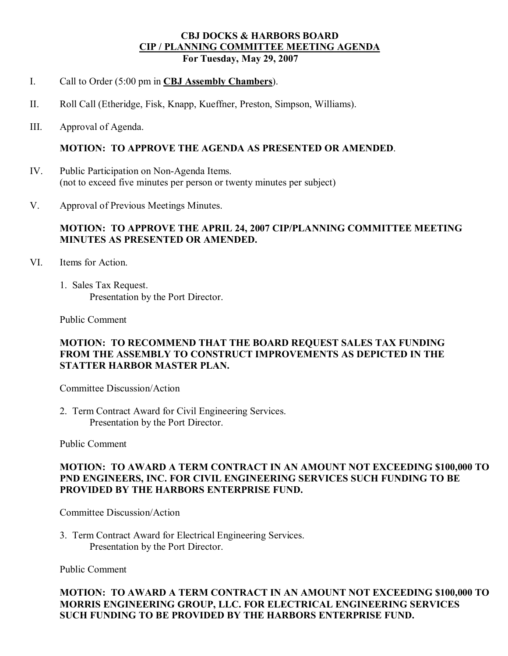### **CBJ DOCKS & HARBORS BOARD CIP / PLANNING COMMITTEE MEETING AGENDA For Tuesday, May 29, 2007**

- I. Call to Order (5:00 pm in **CBJ Assembly Chambers**).
- II. Roll Call (Etheridge, Fisk, Knapp, Kueffner, Preston, Simpson, Williams).
- III. Approval of Agenda.

#### **MOTION: TO APPROVE THE AGENDA AS PRESENTED OR AMENDED**.

- IV. Public Participation on Non-Agenda Items. (not to exceed five minutes per person or twenty minutes per subject)
- V. Approval of Previous Meetings Minutes.

### **MOTION: TO APPROVE THE APRIL 24, 2007 CIP/PLANNING COMMITTEE MEETING MINUTES AS PRESENTED OR AMENDED.**

- VI. Items for Action.
	- 1. Sales Tax Request. Presentation by the Port Director.

Public Comment

### **MOTION: TO RECOMMEND THAT THE BOARD REQUEST SALES TAX FUNDING FROM THE ASSEMBLY TO CONSTRUCT IMPROVEMENTS AS DEPICTED IN THE STATTER HARBOR MASTER PLAN.**

Committee Discussion/Action

2. Term Contract Award for Civil Engineering Services. Presentation by the Port Director.

Public Comment

### **MOTION: TO AWARD A TERM CONTRACT IN AN AMOUNT NOT EXCEEDING \$100,000 TO PND ENGINEERS, INC. FOR CIVIL ENGINEERING SERVICES SUCH FUNDING TO BE PROVIDED BY THE HARBORS ENTERPRISE FUND.**

Committee Discussion/Action

3. Term Contract Award for Electrical Engineering Services. Presentation by the Port Director.

Public Comment

### **MOTION: TO AWARD A TERM CONTRACT IN AN AMOUNT NOT EXCEEDING \$100,000 TO MORRIS ENGINEERING GROUP, LLC. FOR ELECTRICAL ENGINEERING SERVICES SUCH FUNDING TO BE PROVIDED BY THE HARBORS ENTERPRISE FUND.**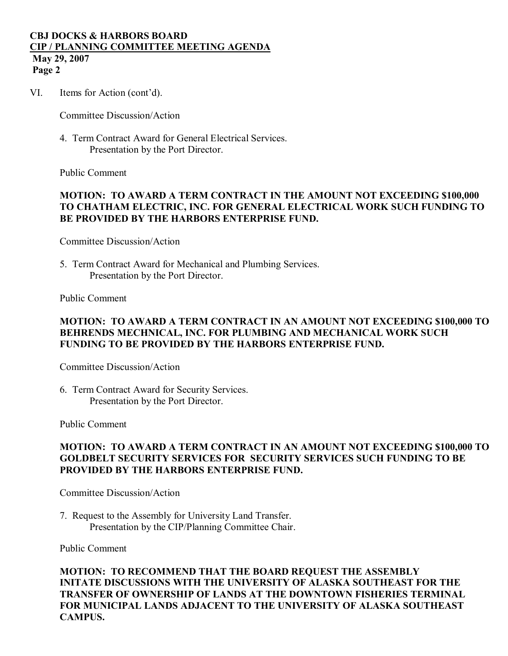# **CBJ DOCKS & HARBORS BOARD CIP / PLANNING COMMITTEE MEETING AGENDA May 29, 2007**

**Page 2**

VI. Items for Action (cont'd).

Committee Discussion/Action

4. Term Contract Award for General Electrical Services. Presentation by the Port Director.

Public Comment

## **MOTION: TO AWARD A TERM CONTRACT IN THE AMOUNT NOT EXCEEDING \$100,000 TO CHATHAM ELECTRIC, INC. FOR GENERAL ELECTRICAL WORK SUCH FUNDING TO BE PROVIDED BY THE HARBORS ENTERPRISE FUND.**

Committee Discussion/Action

5. Term Contract Award for Mechanical and Plumbing Services. Presentation by the Port Director.

Public Comment

### **MOTION: TO AWARD A TERM CONTRACT IN AN AMOUNT NOT EXCEEDING \$100,000 TO BEHRENDS MECHNICAL, INC. FOR PLUMBING AND MECHANICAL WORK SUCH FUNDING TO BE PROVIDED BY THE HARBORS ENTERPRISE FUND.**

Committee Discussion/Action

6. Term Contract Award for Security Services. Presentation by the Port Director.

Public Comment

### **MOTION: TO AWARD A TERM CONTRACT IN AN AMOUNT NOT EXCEEDING \$100,000 TO GOLDBELT SECURITY SERVICES FOR SECURITY SERVICES SUCH FUNDING TO BE PROVIDED BY THE HARBORS ENTERPRISE FUND.**

Committee Discussion/Action

7. Request to the Assembly for University Land Transfer. Presentation by the CIP/Planning Committee Chair.

Public Comment

**MOTION: TO RECOMMEND THAT THE BOARD REQUEST THE ASSEMBLY INITATE DISCUSSIONS WITH THE UNIVERSITY OF ALASKA SOUTHEAST FOR THE TRANSFER OF OWNERSHIP OF LANDS AT THE DOWNTOWN FISHERIES TERMINAL FOR MUNICIPAL LANDS ADJACENT TO THE UNIVERSITY OF ALASKA SOUTHEAST CAMPUS.**